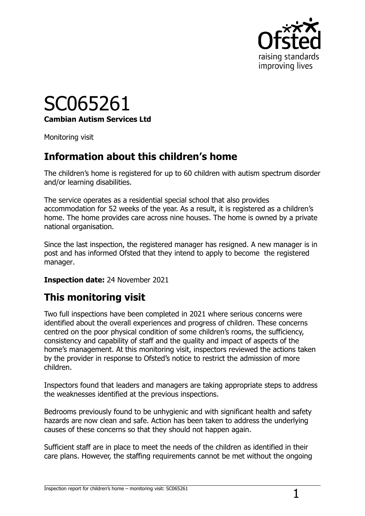

## SC065261 **Cambian Autism Services Ltd**

Monitoring visit

## **Information about this children's home**

The children's home is registered for up to 60 children with autism spectrum disorder and/or learning disabilities.

The service operates as a residential special school that also provides accommodation for 52 weeks of the year. As a result, it is registered as a children's home. The home provides care across nine houses. The home is owned by a private national organisation.

Since the last inspection, the registered manager has resigned. A new manager is in post and has informed Ofsted that they intend to apply to become the registered manager.

#### **Inspection date:** 24 November 2021

## **This monitoring visit**

Two full inspections have been completed in 2021 where serious concerns were identified about the overall experiences and progress of children. These concerns centred on the poor physical condition of some children's rooms, the sufficiency, consistency and capability of staff and the quality and impact of aspects of the home's management. At this monitoring visit, inspectors reviewed the actions taken by the provider in response to Ofsted's notice to restrict the admission of more children.

Inspectors found that leaders and managers are taking appropriate steps to address the weaknesses identified at the previous inspections.

Bedrooms previously found to be unhygienic and with significant health and safety hazards are now clean and safe. Action has been taken to address the underlying causes of these concerns so that they should not happen again.

Sufficient staff are in place to meet the needs of the children as identified in their care plans. However, the staffing requirements cannot be met without the ongoing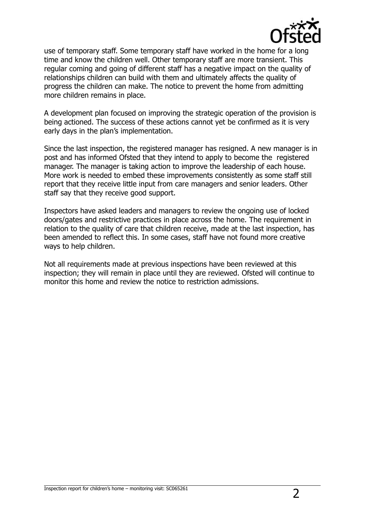

use of temporary staff. Some temporary staff have worked in the home for a long time and know the children well. Other temporary staff are more transient. This regular coming and going of different staff has a negative impact on the quality of relationships children can build with them and ultimately affects the quality of progress the children can make. The notice to prevent the home from admitting more children remains in place.

A development plan focused on improving the strategic operation of the provision is being actioned. The success of these actions cannot yet be confirmed as it is very early days in the plan's implementation.

Since the last inspection, the registered manager has resigned. A new manager is in post and has informed Ofsted that they intend to apply to become the registered manager. The manager is taking action to improve the leadership of each house. More work is needed to embed these improvements consistently as some staff still report that they receive little input from care managers and senior leaders. Other staff say that they receive good support.

Inspectors have asked leaders and managers to review the ongoing use of locked doors/gates and restrictive practices in place across the home. The requirement in relation to the quality of care that children receive, made at the last inspection, has been amended to reflect this. In some cases, staff have not found more creative ways to help children.

Not all requirements made at previous inspections have been reviewed at this inspection; they will remain in place until they are reviewed. Ofsted will continue to monitor this home and review the notice to restriction admissions.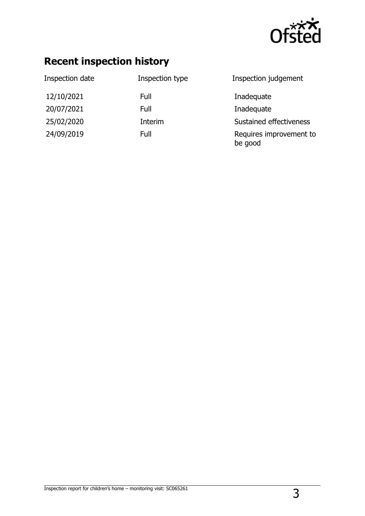

## **Recent inspection history**

| Inspection date | Inspection type | Inspection judgement               |
|-----------------|-----------------|------------------------------------|
| 12/10/2021      | Full            | Inadequate                         |
| 20/07/2021      | Full            | Inadequate                         |
| 25/02/2020      | Interim         | Sustained effectiveness            |
| 24/09/2019      | Full            | Requires improvement to<br>be good |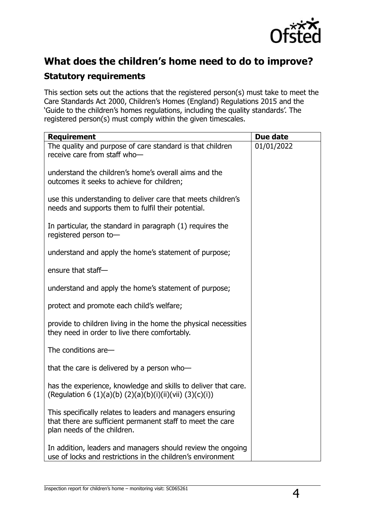

# **What does the children's home need to do to improve?**

### **Statutory requirements**

This section sets out the actions that the registered person(s) must take to meet the Care Standards Act 2000, Children's Homes (England) Regulations 2015 and the 'Guide to the children's homes regulations, including the quality standards'. The registered person(s) must comply within the given timescales.

| <b>Requirement</b>                                                                                                                                      | Due date   |
|---------------------------------------------------------------------------------------------------------------------------------------------------------|------------|
| The quality and purpose of care standard is that children<br>receive care from staff who-                                                               | 01/01/2022 |
| understand the children's home's overall aims and the<br>outcomes it seeks to achieve for children;                                                     |            |
| use this understanding to deliver care that meets children's<br>needs and supports them to fulfil their potential.                                      |            |
| In particular, the standard in paragraph (1) requires the<br>registered person to-                                                                      |            |
| understand and apply the home's statement of purpose;                                                                                                   |            |
| ensure that staff-                                                                                                                                      |            |
| understand and apply the home's statement of purpose;                                                                                                   |            |
| protect and promote each child's welfare;                                                                                                               |            |
| provide to children living in the home the physical necessities<br>they need in order to live there comfortably.                                        |            |
| The conditions are-                                                                                                                                     |            |
| that the care is delivered by a person who-                                                                                                             |            |
| has the experience, knowledge and skills to deliver that care.<br>(Regulation 6 (1)(a)(b) (2)(a)(b)(i)(ii)(vii) (3)(c)(i))                              |            |
| This specifically relates to leaders and managers ensuring<br>that there are sufficient permanent staff to meet the care<br>plan needs of the children. |            |
| In addition, leaders and managers should review the ongoing<br>use of locks and restrictions in the children's environment                              |            |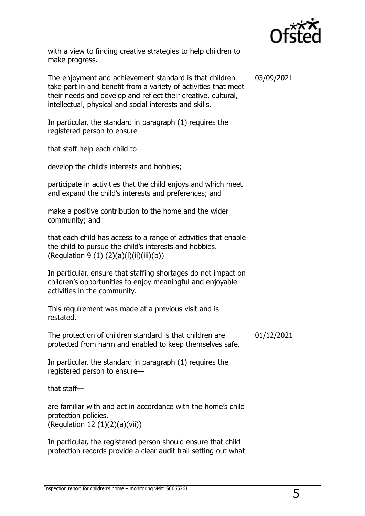

| with a view to finding creative strategies to help children to<br>make progress.                                                                                                                                                                       |            |
|--------------------------------------------------------------------------------------------------------------------------------------------------------------------------------------------------------------------------------------------------------|------------|
| The enjoyment and achievement standard is that children<br>take part in and benefit from a variety of activities that meet<br>their needs and develop and reflect their creative, cultural,<br>intellectual, physical and social interests and skills. | 03/09/2021 |
| In particular, the standard in paragraph (1) requires the<br>registered person to ensure-                                                                                                                                                              |            |
| that staff help each child to-                                                                                                                                                                                                                         |            |
| develop the child's interests and hobbies;                                                                                                                                                                                                             |            |
| participate in activities that the child enjoys and which meet<br>and expand the child's interests and preferences; and                                                                                                                                |            |
| make a positive contribution to the home and the wider<br>community; and                                                                                                                                                                               |            |
| that each child has access to a range of activities that enable<br>the child to pursue the child's interests and hobbies.<br>(Regulation 9 (1) (2)(a)(i)(ii)(iii)(b))                                                                                  |            |
| In particular, ensure that staffing shortages do not impact on<br>children's opportunities to enjoy meaningful and enjoyable<br>activities in the community.                                                                                           |            |
| This requirement was made at a previous visit and is<br>restated.                                                                                                                                                                                      |            |
| The protection of children standard is that children are<br>protected from harm and enabled to keep themselves safe.                                                                                                                                   | 01/12/2021 |
| In particular, the standard in paragraph (1) requires the<br>registered person to ensure-                                                                                                                                                              |            |
| that staff $-$                                                                                                                                                                                                                                         |            |
| are familiar with and act in accordance with the home's child<br>protection policies.<br>(Regulation 12 $(1)(2)(a)(vii)$ )                                                                                                                             |            |
| In particular, the registered person should ensure that child<br>protection records provide a clear audit trail setting out what                                                                                                                       |            |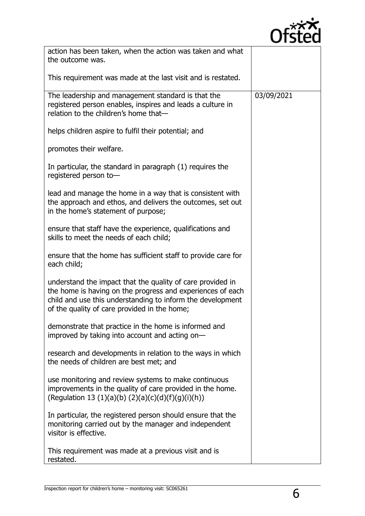

| action has been taken, when the action was taken and what<br>the outcome was.                                                                                                                                                          |            |
|----------------------------------------------------------------------------------------------------------------------------------------------------------------------------------------------------------------------------------------|------------|
| This requirement was made at the last visit and is restated.                                                                                                                                                                           |            |
| The leadership and management standard is that the<br>registered person enables, inspires and leads a culture in<br>relation to the children's home that-                                                                              | 03/09/2021 |
| helps children aspire to fulfil their potential; and                                                                                                                                                                                   |            |
| promotes their welfare.                                                                                                                                                                                                                |            |
| In particular, the standard in paragraph (1) requires the<br>registered person to-                                                                                                                                                     |            |
| lead and manage the home in a way that is consistent with<br>the approach and ethos, and delivers the outcomes, set out<br>in the home's statement of purpose;                                                                         |            |
| ensure that staff have the experience, qualifications and<br>skills to meet the needs of each child;                                                                                                                                   |            |
| ensure that the home has sufficient staff to provide care for<br>each child;                                                                                                                                                           |            |
| understand the impact that the quality of care provided in<br>the home is having on the progress and experiences of each<br>child and use this understanding to inform the development<br>of the quality of care provided in the home; |            |
| demonstrate that practice in the home is informed and<br>improved by taking into account and acting on-                                                                                                                                |            |
| research and developments in relation to the ways in which<br>the needs of children are best met; and                                                                                                                                  |            |
| use monitoring and review systems to make continuous<br>improvements in the quality of care provided in the home.<br>(Regulation 13 (1)(a)(b) (2)(a)(c)(d)(f)(g)(i)(h))                                                                |            |
| In particular, the registered person should ensure that the<br>monitoring carried out by the manager and independent<br>visitor is effective.                                                                                          |            |
| This requirement was made at a previous visit and is<br>restated.                                                                                                                                                                      |            |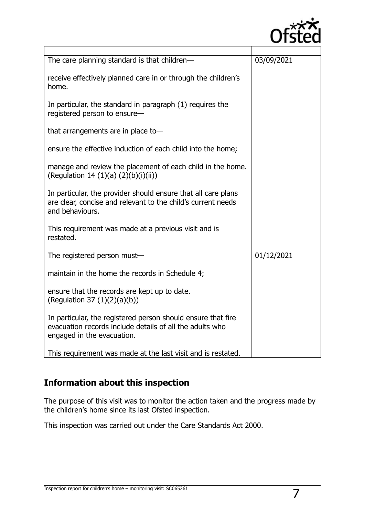

| The care planning standard is that children-                                                                                                           | 03/09/2021 |
|--------------------------------------------------------------------------------------------------------------------------------------------------------|------------|
| receive effectively planned care in or through the children's<br>home.                                                                                 |            |
| In particular, the standard in paragraph (1) requires the<br>registered person to ensure-                                                              |            |
| that arrangements are in place to-                                                                                                                     |            |
| ensure the effective induction of each child into the home;                                                                                            |            |
| manage and review the placement of each child in the home.<br>(Regulation 14 (1)(a) $(2)(b)(i)(ii)$ )                                                  |            |
| In particular, the provider should ensure that all care plans<br>are clear, concise and relevant to the child's current needs<br>and behaviours.       |            |
| This requirement was made at a previous visit and is<br>restated.                                                                                      |            |
| The registered person must-                                                                                                                            | 01/12/2021 |
| maintain in the home the records in Schedule 4;                                                                                                        |            |
| ensure that the records are kept up to date.<br>(Regulation 37 $(1)(2)(a)(b)$ )                                                                        |            |
| In particular, the registered person should ensure that fire<br>evacuation records include details of all the adults who<br>engaged in the evacuation. |            |
| This requirement was made at the last visit and is restated.                                                                                           |            |

### **Information about this inspection**

The purpose of this visit was to monitor the action taken and the progress made by the children's home since its last Ofsted inspection.

This inspection was carried out under the Care Standards Act 2000.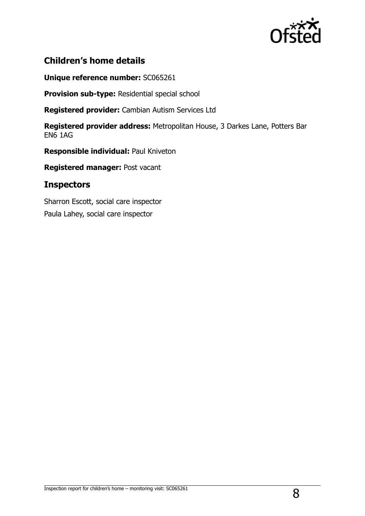

### **Children's home details**

**Unique reference number:** SC065261

**Provision sub-type:** Residential special school

**Registered provider:** Cambian Autism Services Ltd

**Registered provider address:** Metropolitan House, 3 Darkes Lane, Potters Bar EN6 1AG

**Responsible individual:** Paul Kniveton

**Registered manager:** Post vacant

#### **Inspectors**

Sharron Escott, social care inspector Paula Lahey, social care inspector